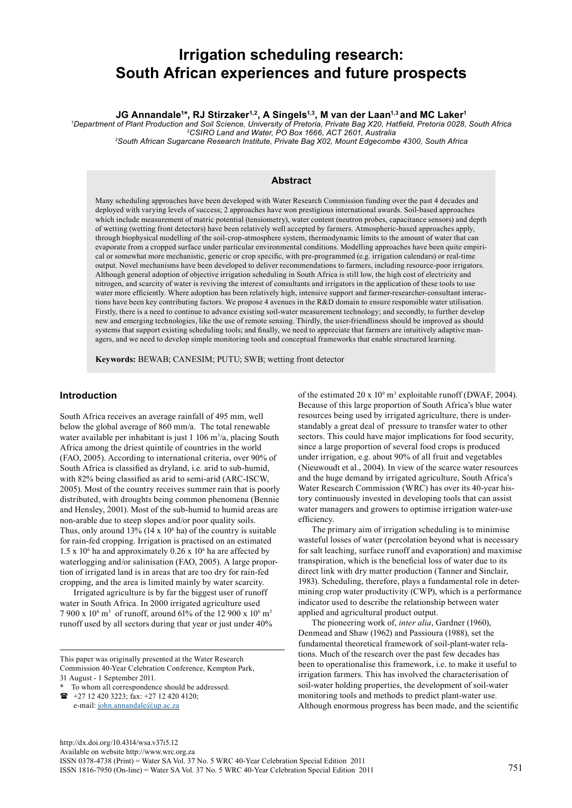# **Irrigation scheduling research: South African experiences and future prospects**

JG Annandale<sup>1</sup>\*, RJ Stirzaker<sup>1,2</sup>, A Singels<sup>1,3</sup>, M van der Laan<sup>1,3</sup> and MC Laker<sup>1</sup>

*1 Department of Plant Production and Soil Science, University of Pretoria, Private Bag X20, Hatfield, Pretoria 0028, South Africa <sup>2</sup>CSIRO Land and Water, PO Box 1666, ACT 2601, Australia*

*<sup>3</sup>South African Sugarcane Research Institute, Private Bag X02, Mount Edgecombe 4300, South Africa*

#### **Abstract**

Many scheduling approaches have been developed with Water Research Commission funding over the past 4 decades and deployed with varying levels of success; 2 approaches have won prestigious international awards. Soil-based approaches which include measurement of matric potential (tensiometry), water content (neutron probes, capacitance sensors) and depth of wetting (wetting front detectors) have been relatively well accepted by farmers. Atmospheric-based approaches apply, through biophysical modelling of the soil-crop-atmosphere system, thermodynamic limits to the amount of water that can evaporate from a cropped surface under particular environmental conditions. Modelling approaches have been quite empirical or somewhat more mechanistic, generic or crop specific, with pre-programmed (e.g. irrigation calendars) or real-time output. Novel mechanisms have been developed to deliver recommendations to farmers, including resource-poor irrigators. Although general adoption of objective irrigation scheduling in South Africa is still low, the high cost of electricity and nitrogen, and scarcity of water is reviving the interest of consultants and irrigators in the application of these tools to use water more efficiently. Where adoption has been relatively high, intensive support and farmer-researcher-consultant interactions have been key contributing factors. We propose 4 avenues in the R&D domain to ensure responsible water utilisation. Firstly, there is a need to continue to advance existing soil-water measurement technology; and secondly, to further develop new and emerging technologies, like the use of remote sensing. Thirdly, the user-friendliness should be improved as should systems that support existing scheduling tools; and finally, we need to appreciate that farmers are intuitively adaptive managers, and we need to develop simple monitoring tools and conceptual frameworks that enable structured learning.

**Keywords:** BEWAB; CANESIM; PUTU; SWB; wetting front detector

## **Introduction**

South Africa receives an average rainfall of 495 mm, well below the global average of 860 mm/a. The total renewable water available per inhabitant is just 1 106 m<sup>3</sup>/a, placing South Africa among the driest quintile of countries in the world (FAO, 2005). According to international criteria, over 90% of South Africa is classified as dryland, i.e. arid to sub-humid, with 82% being classified as arid to semi-arid (ARC-ISCW, 2005). Most of the country receives summer rain that is poorly distributed, with droughts being common phenomena (Bennie and Hensley, 2001). Most of the sub-humid to humid areas are non-arable due to steep slopes and/or poor quality soils. Thus, only around  $13\%$  (14 x 10<sup>6</sup> ha) of the country is suitable for rain-fed cropping. Irrigation is practised on an estimated  $1.5 \times 10^6$  ha and approximately 0.26 x 10<sup>6</sup> ha are affected by waterlogging and/or salinisation (FAO, 2005). A large proportion of irrigated land is in areas that are too dry for rain-fed cropping, and the area is limited mainly by water scarcity.

Irrigated agriculture is by far the biggest user of runoff water in South Africa. In 2000 irrigated agriculture used 7 900 x  $10^6$  m<sup>3</sup> of runoff, around 61% of the 12 900 x  $10^6$  m<sup>3</sup> runoff used by all sectors during that year or just under 40%

This paper was originally presented at the Water Research Commission 40-Year Celebration Conference, Kempton Park, 31 August - 1 September 2011.

To whom all correspondence should be addressed. +27 12 420 3223; fax: +27 12 420 4120; e-mail: john.annandale@up.ac.za

of the estimated 20 x  $10^9$  m<sup>3</sup> exploitable runoff (DWAF, 2004). Because of this large proportion of South Africa's blue water resources being used by irrigated agriculture, there is understandably a great deal of pressure to transfer water to other sectors. This could have major implications for food security, since a large proportion of several food crops is produced under irrigation, e.g. about 90% of all fruit and vegetables (Nieuwoudt et al., 2004). In view of the scarce water resources and the huge demand by irrigated agriculture, South Africa's Water Research Commission (WRC) has over its 40-year history continuously invested in developing tools that can assist water managers and growers to optimise irrigation water-use efficiency.

The primary aim of irrigation scheduling is to minimise wasteful losses of water (percolation beyond what is necessary for salt leaching, surface runoff and evaporation) and maximise transpiration, which is the beneficial loss of water due to its direct link with dry matter production (Tanner and Sinclair, 1983). Scheduling, therefore, plays a fundamental role in determining crop water productivity (CWP), which is a performance indicator used to describe the relationship between water applied and agricultural product output.

The pioneering work of, *inter alia*, Gardner (1960), Denmead and Shaw (1962) and Passioura (1988), set the fundamental theoretical framework of soil-plant-water relations. Much of the research over the past few decades has been to operationalise this framework, i.e. to make it useful to irrigation farmers. This has involved the characterisation of soil-water holding properties, the development of soil-water monitoring tools and methods to predict plant-water use. Although enormous progress has been made, and the scientific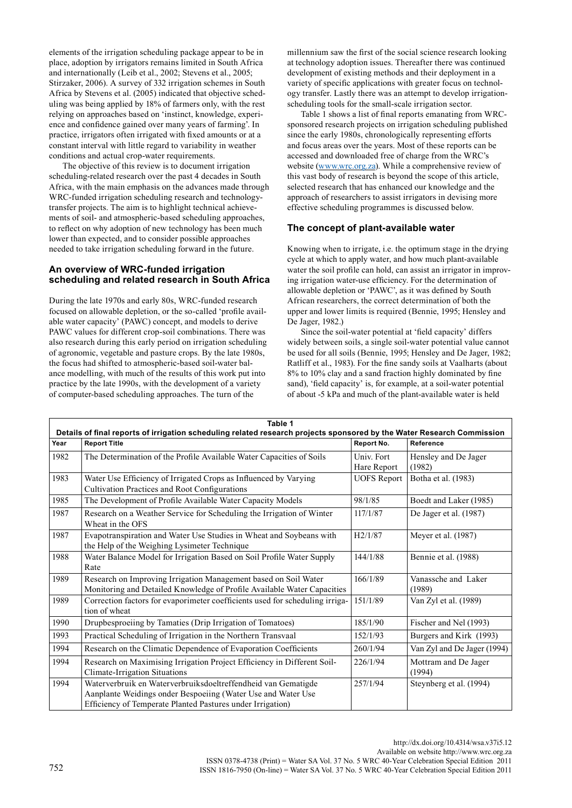elements of the irrigation scheduling package appear to be in place, adoption by irrigators remains limited in South Africa and internationally (Leib et al., 2002; Stevens et al., 2005; Stirzaker, 2006). A survey of 332 irrigation schemes in South Africa by Stevens et al. (2005) indicated that objective scheduling was being applied by 18% of farmers only, with the rest relying on approaches based on 'instinct, knowledge, experience and confidence gained over many years of farming'. In practice, irrigators often irrigated with fixed amounts or at a constant interval with little regard to variability in weather conditions and actual crop-water requirements.

The objective of this review is to document irrigation scheduling-related research over the past 4 decades in South Africa, with the main emphasis on the advances made through WRC-funded irrigation scheduling research and technologytransfer projects. The aim is to highlight technical achievements of soil- and atmospheric-based scheduling approaches, to reflect on why adoption of new technology has been much lower than expected, and to consider possible approaches needed to take irrigation scheduling forward in the future.

## **An overview of WRC-funded irrigation scheduling and related research in South Africa**

During the late 1970s and early 80s, WRC-funded research focused on allowable depletion, or the so-called 'profile available water capacity' (PAWC) concept, and models to derive PAWC values for different crop-soil combinations. There was also research during this early period on irrigation scheduling of agronomic, vegetable and pasture crops. By the late 1980s, the focus had shifted to atmospheric-based soil-water balance modelling, with much of the results of this work put into practice by the late 1990s, with the development of a variety of computer-based scheduling approaches. The turn of the

millennium saw the first of the social science research looking at technology adoption issues. Thereafter there was continued development of existing methods and their deployment in a variety of specific applications with greater focus on technology transfer. Lastly there was an attempt to develop irrigationscheduling tools for the small-scale irrigation sector.

Table 1 shows a list of final reports emanating from WRCsponsored research projects on irrigation scheduling published since the early 1980s, chronologically representing efforts and focus areas over the years. Most of these reports can be accessed and downloaded free of charge from the WRC's website ([www.wrc.org.za\)](http://www.wrc.org.za). While a comprehensive review of this vast body of research is beyond the scope of this article, selected research that has enhanced our knowledge and the approach of researchers to assist irrigators in devising more effective scheduling programmes is discussed below.

# **The concept of plant-available water**

Knowing when to irrigate, i.e. the optimum stage in the drying cycle at which to apply water, and how much plant-available water the soil profile can hold, can assist an irrigator in improving irrigation water-use efficiency. For the determination of allowable depletion or 'PAWC', as it was defined by South African researchers, the correct determination of both the upper and lower limits is required (Bennie, 1995; Hensley and De Jager, 1982.)

Since the soil-water potential at 'field capacity' differs widely between soils, a single soil-water potential value cannot be used for all soils (Bennie, 1995; Hensley and De Jager, 1982; Ratliff et al., 1983). For the fine sandy soils at Vaalharts (about 8% to 10% clay and a sand fraction highly dominated by fine sand), 'field capacity' is, for example, at a soil-water potential of about -5 kPa and much of the plant-available water is held

| Table 1<br>Details of final reports of irrigation scheduling related research projects sponsored by the Water Research Commission |                                                                                                                                                                                             |                           |                                |  |
|-----------------------------------------------------------------------------------------------------------------------------------|---------------------------------------------------------------------------------------------------------------------------------------------------------------------------------------------|---------------------------|--------------------------------|--|
| Year                                                                                                                              | <b>Report Title</b>                                                                                                                                                                         | Report No.                | Reference                      |  |
| 1982                                                                                                                              | The Determination of the Profile Available Water Capacities of Soils                                                                                                                        | Univ. Fort<br>Hare Report | Hensley and De Jager<br>(1982) |  |
| 1983                                                                                                                              | Water Use Efficiency of Irrigated Crops as Influenced by Varying<br><b>Cultivation Practices and Root Configurations</b>                                                                    | <b>UOFS</b> Report        | Botha et al. (1983)            |  |
| 1985                                                                                                                              | The Development of Profile Available Water Capacity Models                                                                                                                                  | 98/1/85                   | Boedt and Laker (1985)         |  |
| 1987                                                                                                                              | Research on a Weather Service for Scheduling the Irrigation of Winter<br>Wheat in the OFS                                                                                                   | 117/1/87                  | De Jager et al. (1987)         |  |
| 1987                                                                                                                              | Evapotranspiration and Water Use Studies in Wheat and Soybeans with<br>the Help of the Weighing Lysimeter Technique                                                                         | H2/1/87                   | Meyer et al. (1987)            |  |
| 1988                                                                                                                              | Water Balance Model for Irrigation Based on Soil Profile Water Supply<br>Rate                                                                                                               | 144/1/88                  | Bennie et al. (1988)           |  |
| 1989                                                                                                                              | Research on Improving Irrigation Management based on Soil Water<br>Monitoring and Detailed Knowledge of Profile Available Water Capacities                                                  | 166/1/89                  | Vanassche and Laker<br>(1989)  |  |
| 1989                                                                                                                              | Correction factors for evaporimeter coefficients used for scheduling irriga-<br>tion of wheat                                                                                               | 151/1/89                  | Van Zyl et al. (1989)          |  |
| 1990                                                                                                                              | Drupbesproeiing by Tamaties (Drip Irrigation of Tomatoes)                                                                                                                                   | 185/1/90                  | Fischer and Nel (1993)         |  |
| 1993                                                                                                                              | Practical Scheduling of Irrigation in the Northern Transvaal                                                                                                                                | 152/1/93                  | Burgers and Kirk (1993)        |  |
| 1994                                                                                                                              | Research on the Climatic Dependence of Evaporation Coefficients                                                                                                                             | 260/1/94                  | Van Zyl and De Jager (1994)    |  |
| 1994                                                                                                                              | Research on Maximising Irrigation Project Efficiency in Different Soil-<br>Climate-Irrigation Situations                                                                                    | 226/1/94                  | Mottram and De Jager<br>(1994) |  |
| 1994                                                                                                                              | Waterverbruik en Waterverbruiksdoeltreffendheid van Gematigde<br>Aanplante Weidings onder Bespoeiing (Water Use and Water Use<br>Efficiency of Temperate Planted Pastures under Irrigation) | 257/1/94                  | Steynberg et al. (1994)        |  |

Available on website http://www.wrc.org.za<br>ISSN 0378-4738 (Print) = Water SA Vol. 37 No. 5 WRC 40-Year Celebration Special Edition 2011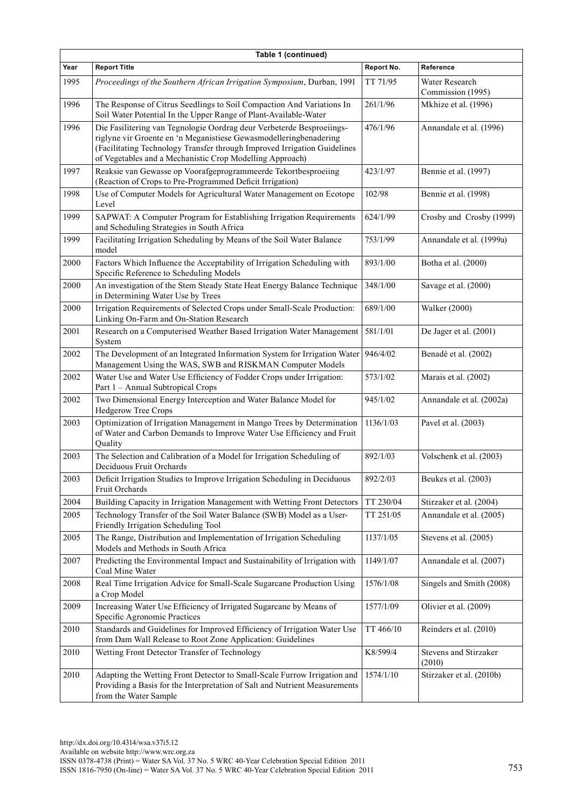| Table 1 (continued) |                                                                                                                                                                                                                                                                                    |            |                                     |  |  |
|---------------------|------------------------------------------------------------------------------------------------------------------------------------------------------------------------------------------------------------------------------------------------------------------------------------|------------|-------------------------------------|--|--|
| Year                | <b>Report Title</b>                                                                                                                                                                                                                                                                | Report No. | Reference                           |  |  |
| 1995                | Proceedings of the Southern African Irrigation Symposium, Durban, 1991                                                                                                                                                                                                             | TT 71/95   | Water Research<br>Commission (1995) |  |  |
| 1996                | The Response of Citrus Seedlings to Soil Compaction And Variations In<br>Soil Water Potential In the Upper Range of Plant-Available-Water                                                                                                                                          | 261/1/96   | Mkhize et al. (1996)                |  |  |
| 1996                | Die Fasilitering van Tegnologie Oordrag deur Verbeterde Besproeiings-<br>riglyne vir Groente en 'n Meganistiese Gewasmodelleringbenadering<br>(Facilitating Technology Transfer through Improved Irrigation Guidelines<br>of Vegetables and a Mechanistic Crop Modelling Approach) | 476/1/96   | Annandale et al. (1996)             |  |  |
| 1997                | Reaksie van Gewasse op Voorafgeprogrammeerde Tekortbesproeiing<br>(Reaction of Crops to Pre-Programmed Deficit Irrigation)                                                                                                                                                         | 423/1/97   | Bennie et al. (1997)                |  |  |
| 1998                | Use of Computer Models for Agricultural Water Management on Ecotope<br>Level                                                                                                                                                                                                       | 102/98     | Bennie et al. (1998)                |  |  |
| 1999                | SAPWAT: A Computer Program for Establishing Irrigation Requirements<br>and Scheduling Strategies in South Africa                                                                                                                                                                   | 624/1/99   | Crosby and Crosby (1999)            |  |  |
| 1999                | Facilitating Irrigation Scheduling by Means of the Soil Water Balance<br>model                                                                                                                                                                                                     | 753/1/99   | Annandale et al. (1999a)            |  |  |
| 2000                | Factors Which Influence the Acceptability of Irrigation Scheduling with<br>Specific Reference to Scheduling Models                                                                                                                                                                 | 893/1/00   | Botha et al. (2000)                 |  |  |
| 2000                | An investigation of the Stem Steady State Heat Energy Balance Technique<br>in Determining Water Use by Trees                                                                                                                                                                       | 348/1/00   | Savage et al. (2000)                |  |  |
| 2000                | Irrigation Requirements of Selected Crops under Small-Scale Production:<br>Linking On-Farm and On-Station Research                                                                                                                                                                 | 689/1/00   | <b>Walker</b> (2000)                |  |  |
| 2001                | Research on a Computerised Weather Based Irrigation Water Management<br>System                                                                                                                                                                                                     | 581/1/01   | De Jager et al. (2001)              |  |  |
| 2002                | The Development of an Integrated Information System for Irrigation Water<br>Management Using the WAS, SWB and RISKMAN Computer Models                                                                                                                                              | 946/4/02   | Benadé et al. (2002)                |  |  |
| 2002                | Water Use and Water Use Efficiency of Fodder Crops under Irrigation:<br>Part 1 - Annual Subtropical Crops                                                                                                                                                                          | 573/1/02   | Marais et al. (2002)                |  |  |
| 2002                | Two Dimensional Energy Interception and Water Balance Model for<br><b>Hedgerow Tree Crops</b>                                                                                                                                                                                      | 945/1/02   | Annandale et al. (2002a)            |  |  |
| 2003                | Optimization of Irrigation Management in Mango Trees by Determination<br>of Water and Carbon Demands to Improve Water Use Efficiency and Fruit<br>Quality                                                                                                                          | 1136/1/03  | Pavel et al. (2003)                 |  |  |
| 2003                | The Selection and Calibration of a Model for Irrigation Scheduling of<br>Deciduous Fruit Orchards                                                                                                                                                                                  | 892/1/03   | Volschenk et al. (2003)             |  |  |
| 2003                | Deficit Irrigation Studies to Improve Irrigation Scheduling in Deciduous<br>Fruit Orchards                                                                                                                                                                                         | 892/2/03   | Beukes et al. (2003)                |  |  |
| 2004                | Building Capacity in Irrigation Management with Wetting Front Detectors                                                                                                                                                                                                            | TT 230/04  | Stirzaker et al. (2004)             |  |  |
| 2005                | Technology Transfer of the Soil Water Balance (SWB) Model as a User-<br>Friendly Irrigation Scheduling Tool                                                                                                                                                                        | TT 251/05  | Annandale et al. (2005)             |  |  |
| 2005                | The Range, Distribution and Implementation of Irrigation Scheduling<br>Models and Methods in South Africa                                                                                                                                                                          | 1137/1/05  | Stevens et al. (2005)               |  |  |
| 2007                | Predicting the Environmental Impact and Sustainability of Irrigation with<br>Coal Mine Water                                                                                                                                                                                       | 1149/1/07  | Annandale et al. (2007)             |  |  |
| 2008                | Real Time Irrigation Advice for Small-Scale Sugarcane Production Using<br>a Crop Model                                                                                                                                                                                             | 1576/1/08  | Singels and Smith (2008)            |  |  |
| 2009                | Increasing Water Use Efficiency of Irrigated Sugarcane by Means of<br>Specific Agronomic Practices                                                                                                                                                                                 | 1577/1/09  | Olivier et al. (2009)               |  |  |
| 2010                | Standards and Guidelines for Improved Efficiency of Irrigation Water Use<br>from Dam Wall Release to Root Zone Application: Guidelines                                                                                                                                             | TT 466/10  | Reinders et al. (2010)              |  |  |
| 2010                | Wetting Front Detector Transfer of Technology                                                                                                                                                                                                                                      | K8/599/4   | Stevens and Stirzaker<br>(2010)     |  |  |
| 2010                | Adapting the Wetting Front Detector to Small-Scale Furrow Irrigation and<br>Providing a Basis for the Interpretation of Salt and Nutrient Measurements<br>from the Water Sample                                                                                                    | 1574/1/10  | Stirzaker et al. (2010b)            |  |  |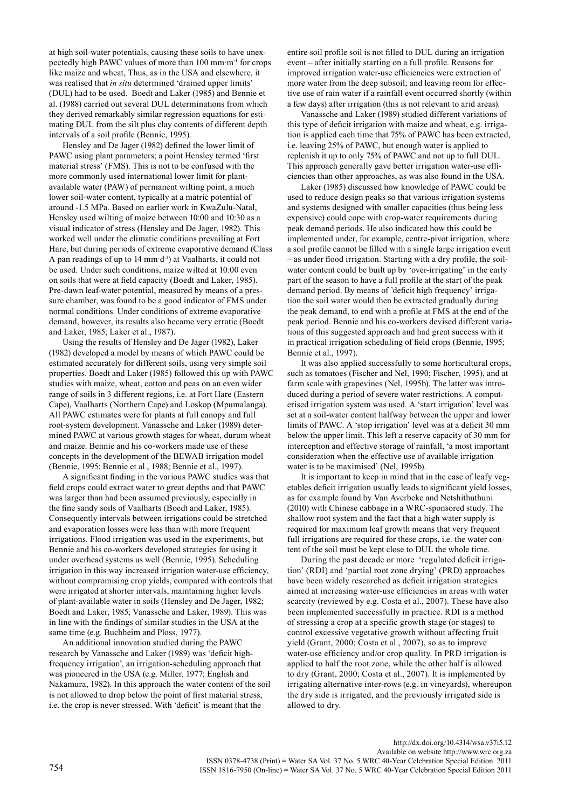at high soil-water potentials, causing these soils to have unexpectedly high PAWC values of more than 100 mm·m-1 for crops like maize and wheat, Thus, as in the USA and elsewhere, it was realised that *in situ* determined 'drained upper limits' (DUL) had to be used. Boedt and Laker (1985) and Bennie et al. (1988) carried out several DUL determinations from which they derived remarkably similar regression equations for estimating DUL from the silt plus clay contents of different depth intervals of a soil profile (Bennie, 1995).

Hensley and De Jager (1982) defined the lower limit of PAWC using plant parameters; a point Hensley termed 'first material stress' (FMS). This is not to be confused with the more commonly used international lower limit for plantavailable water (PAW) of permanent wilting point, a much lower soil-water content, typically at a matric potential of around -1.5 MPa. Based on earlier work in KwaZulu-Natal, Hensley used wilting of maize between 10:00 and 10:30 as a visual indicator of stress (Hensley and De Jager, 1982). This worked well under the climatic conditions prevailing at Fort Hare, but during periods of extreme evaporative demand (Class A pan readings of up to 14 mm·d-1) at Vaalharts, it could not be used. Under such conditions, maize wilted at 10:00 even on soils that were at field capacity (Boedt and Laker, 1985). Pre-dawn leaf-water potential, measured by means of a pressure chamber, was found to be a good indicator of FMS under normal conditions. Under conditions of extreme evaporative demand, however, its results also became very erratic (Boedt and Laker, 1985; Laker et al., 1987).

Using the results of Hensley and De Jager (1982), Laker (1982) developed a model by means of which PAWC could be estimated accurately for different soils, using very simple soil properties. Boedt and Laker (1985) followed this up with PAWC studies with maize, wheat, cotton and peas on an even wider range of soils in 3 different regions, i.e. at Fort Hare (Eastern Cape), Vaalharts (Northern Cape) and Loskop (Mpumalanga). All PAWC estimates were for plants at full canopy and full root-system development. Vanassche and Laker (1989) determined PAWC at various growth stages for wheat, durum wheat and maize. Bennie and his co-workers made use of these concepts in the development of the BEWAB irrigation model (Bennie, 1995; Bennie et al., 1988; Bennie et al., 1997).

A significant finding in the various PAWC studies was that field crops could extract water to great depths and that PAWC was larger than had been assumed previously, especially in the fine sandy soils of Vaalharts (Boedt and Laker, 1985). Consequently intervals between irrigations could be stretched and evaporation losses were less than with more frequent irrigations. Flood irrigation was used in the experiments, but Bennie and his co-workers developed strategies for using it under overhead systems as well (Bennie, 1995). Scheduling irrigation in this way increased irrigation water-use efficiency, without compromising crop yields, compared with controls that were irrigated at shorter intervals, maintaining higher levels of plant-available water in soils (Hensley and De Jager, 1982; Boedt and Laker, 1985; Vanassche and Laker, 1989). This was in line with the findings of similar studies in the USA at the same time (e.g. Buchheim and Ploss, 1977).

An additional innovation studied during the PAWC research by Vanassche and Laker (1989) was 'deficit highfrequency irrigation', an irrigation-scheduling approach that was pioneered in the USA (e.g. Miller, 1977; English and Nakamura, 1982). In this approach the water content of the soil is not allowed to drop below the point of first material stress, i.e. the crop is never stressed. With 'deficit' is meant that the

entire soil profile soil is not filled to DUL during an irrigation event – after initially starting on a full profile. Reasons for improved irrigation water-use efficiencies were extraction of more water from the deep subsoil; and leaving room for effective use of rain water if a rainfall event occurred shortly (within a few days) after irrigation (this is not relevant to arid areas).

Vanassche and Laker (1989) studied different variations of this type of deficit irrigation with maize and wheat, e.g. irrigation is applied each time that 75% of PAWC has been extracted, i.e. leaving 25% of PAWC, but enough water is applied to replenish it up to only 75% of PAWC and not up to full DUL. This approach generally gave better irrigation water-use efficiencies than other approaches, as was also found in the USA.

Laker (1985) discussed how knowledge of PAWC could be used to reduce design peaks so that various irrigation systems and systems designed with smaller capacities (thus being less expensive) could cope with crop-water requirements during peak demand periods. He also indicated how this could be implemented under, for example, centre-pivot irrigation, where a soil profile cannot be filled with a single large irrigation event – as under flood irrigation. Starting with a dry profile, the soilwater content could be built up by 'over-irrigating' in the early part of the season to have a full profile at the start of the peak demand period. By means of 'deficit high frequency' irrigation the soil water would then be extracted gradually during the peak demand, to end with a profile at FMS at the end of the peak period. Bennie and his co-workers devised different variations of this suggested approach and had great success with it in practical irrigation scheduling of field crops (Bennie, 1995; Bennie et al., 1997).

It was also applied successfully to some horticultural crops, such as tomatoes (Fischer and Nel, 1990; Fischer, 1995), and at farm scale with grapevines (Nel, 1995b). The latter was introduced during a period of severe water restrictions. A computerised irrigation system was used. A 'start irrigation' level was set at a soil-water content halfway between the upper and lower limits of PAWC. A 'stop irrigation' level was at a deficit 30 mm below the upper limit. This left a reserve capacity of 30 mm for interception and effective storage of rainfall, 'a most important consideration when the effective use of available irrigation water is to be maximised' (Nel, 1995b).

It is important to keep in mind that in the case of leafy vegetables deficit irrigation usually leads to significant yield losses, as for example found by Van Averbeke and Netshithuthuni (2010) with Chinese cabbage in a WRC-sponsored study. The shallow root system and the fact that a high water supply is required for maximum leaf growth means that very frequent full irrigations are required for these crops, i.e. the water content of the soil must be kept close to DUL the whole time.

During the past decade or more 'regulated deficit irrigation' (RDI) and 'partial root zone drying' (PRD) approaches have been widely researched as deficit irrigation strategies aimed at increasing water-use efficiencies in areas with water scarcity (reviewed by e.g. Costa et al., 2007). These have also been implemented successfully in practice. RDI is a method of stressing a crop at a specific growth stage (or stages) to control excessive vegetative growth without affecting fruit yield (Grant, 2000; Costa et al., 2007), so as to improve water-use efficiency and/or crop quality. In PRD irrigation is applied to half the root zone, while the other half is allowed to dry (Grant, 2000; Costa et al., 2007). It is implemented by irrigating alternative inter-rows (e.g. in vineyards), whereupon the dry side is irrigated, and the previously irrigated side is allowed to dry.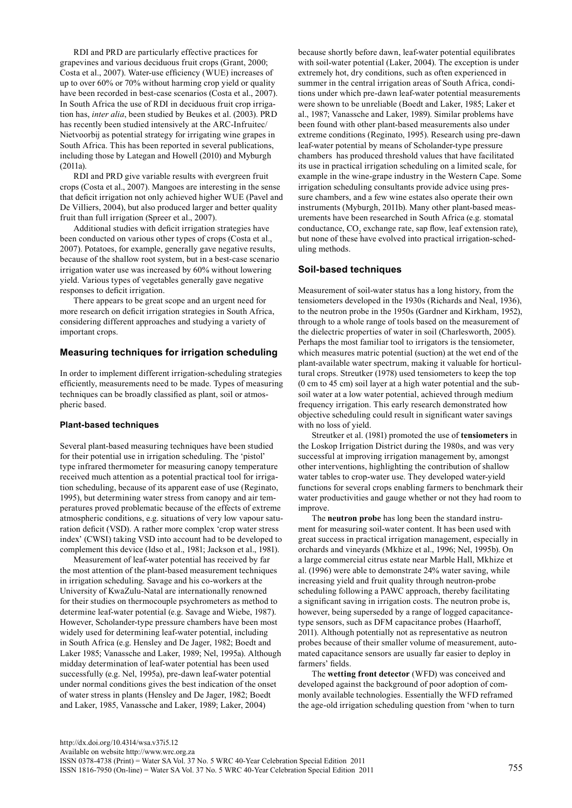RDI and PRD are particularly effective practices for grapevines and various deciduous fruit crops (Grant, 2000; Costa et al., 2007). Water-use efficiency (WUE) increases of up to over 60% or 70% without harming crop yield or quality have been recorded in best-case scenarios (Costa et al., 2007). In South Africa the use of RDI in deciduous fruit crop irrigation has, *inter alia*, been studied by Beukes et al. (2003). PRD has recently been studied intensively at the ARC-Infruitec/ Nietvoorbij as potential strategy for irrigating wine grapes in South Africa. This has been reported in several publications, including those by Lategan and Howell (2010) and Myburgh (2011a).

RDI and PRD give variable results with evergreen fruit crops (Costa et al., 2007). Mangoes are interesting in the sense that deficit irrigation not only achieved higher WUE (Pavel and De Villiers, 2004), but also produced larger and better quality fruit than full irrigation (Spreer et al., 2007).

Additional studies with deficit irrigation strategies have been conducted on various other types of crops (Costa et al., 2007). Potatoes, for example, generally gave negative results, because of the shallow root system, but in a best-case scenario irrigation water use was increased by 60% without lowering yield. Various types of vegetables generally gave negative responses to deficit irrigation.

There appears to be great scope and an urgent need for more research on deficit irrigation strategies in South Africa, considering different approaches and studying a variety of important crops.

## **Measuring techniques for irrigation scheduling**

In order to implement different irrigation-scheduling strategies efficiently, measurements need to be made. Types of measuring techniques can be broadly classified as plant, soil or atmospheric based.

#### **Plant-based techniques**

Several plant-based measuring techniques have been studied for their potential use in irrigation scheduling. The 'pistol' type infrared thermometer for measuring canopy temperature received much attention as a potential practical tool for irrigation scheduling, because of its apparent ease of use (Reginato, 1995), but determining water stress from canopy and air temperatures proved problematic because of the effects of extreme atmospheric conditions, e.g. situations of very low vapour saturation deficit (VSD). A rather more complex 'crop water stress index' (CWSI) taking VSD into account had to be developed to complement this device (Idso et al., 1981; Jackson et al., 1981).

Measurement of leaf-water potential has received by far the most attention of the plant-based measurement techniques in irrigation scheduling. Savage and his co-workers at the University of KwaZulu-Natal are internationally renowned for their studies on thermocouple psychrometers as method to determine leaf-water potential (e.g. Savage and Wiebe, 1987). However, Scholander-type pressure chambers have been most widely used for determining leaf-water potential, including in South Africa (e.g. Hensley and De Jager, 1982; Boedt and Laker 1985; Vanassche and Laker, 1989; Nel, 1995a). Although midday determination of leaf-water potential has been used successfully (e.g. Nel, 1995a), pre-dawn leaf-water potential under normal conditions gives the best indication of the onset of water stress in plants (Hensley and De Jager, 1982; Boedt and Laker, 1985, Vanassche and Laker, 1989; Laker, 2004)

because shortly before dawn, leaf-water potential equilibrates with soil-water potential (Laker, 2004). The exception is under extremely hot, dry conditions, such as often experienced in summer in the central irrigation areas of South Africa, conditions under which pre-dawn leaf-water potential measurements were shown to be unreliable (Boedt and Laker, 1985; Laker et al., 1987; Vanassche and Laker, 1989). Similar problems have been found with other plant-based measurements also under extreme conditions (Reginato, 1995). Research using pre-dawn leaf-water potential by means of Scholander-type pressure chambers has produced threshold values that have facilitated its use in practical irrigation scheduling on a limited scale, for example in the wine-grape industry in the Western Cape. Some irrigation scheduling consultants provide advice using pressure chambers, and a few wine estates also operate their own instruments (Myburgh, 2011b). Many other plant-based measurements have been researched in South Africa (e.g. stomatal conductance, CO<sub>2</sub> exchange rate, sap flow, leaf extension rate), but none of these have evolved into practical irrigation-scheduling methods.

### **Soil-based techniques**

Measurement of soil-water status has a long history, from the tensiometers developed in the 1930s (Richards and Neal, 1936), to the neutron probe in the 1950s (Gardner and Kirkham, 1952), through to a whole range of tools based on the measurement of the dielectric properties of water in soil (Charlesworth, 2005). Perhaps the most familiar tool to irrigators is the tensiometer, which measures matric potential (suction) at the wet end of the plant-available water spectrum, making it valuable for horticultural crops. Streutker (1978) used tensiometers to keep the top (0 cm to 45 cm) soil layer at a high water potential and the subsoil water at a low water potential, achieved through medium frequency irrigation. This early research demonstrated how objective scheduling could result in significant water savings with no loss of yield.

Streutker et al. (1981) promoted the use of **tensiometers** in the Loskop Irrigation District during the 1980s, and was very successful at improving irrigation management by, amongst other interventions, highlighting the contribution of shallow water tables to crop-water use. They developed water-yield functions for several crops enabling farmers to benchmark their water productivities and gauge whether or not they had room to improve.

The **neutron probe** has long been the standard instrument for measuring soil-water content. It has been used with great success in practical irrigation management, especially in orchards and vineyards (Mkhize et al., 1996; Nel, 1995b). On a large commercial citrus estate near Marble Hall, Mkhize et al. (1996) were able to demonstrate 24% water saving, while increasing yield and fruit quality through neutron-probe scheduling following a PAWC approach, thereby facilitating a significant saving in irrigation costs. The neutron probe is, however, being superseded by a range of logged capacitancetype sensors, such as DFM capacitance probes (Haarhoff, 2011). Although potentially not as representative as neutron probes because of their smaller volume of measurement, automated capacitance sensors are usually far easier to deploy in farmers' fields.

The **wetting front detector** (WFD) was conceived and developed against the background of poor adoption of commonly available technologies. Essentially the WFD reframed the age-old irrigation scheduling question from 'when to turn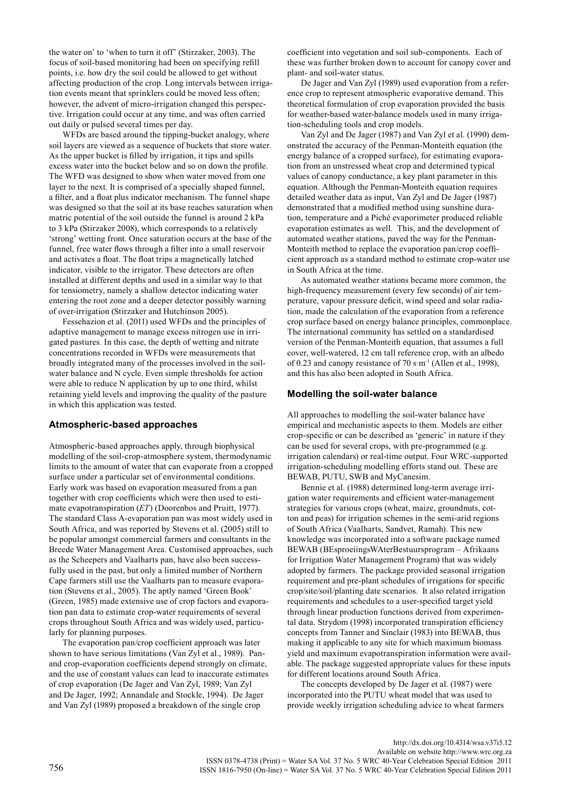the water on' to 'when to turn it off' (Stirzaker, 2003). The focus of soil-based monitoring had been on specifying refill points, i.e. how dry the soil could be allowed to get without affecting production of the crop. Long intervals between irrigation events meant that sprinklers could be moved less often; however, the advent of micro-irrigation changed this perspective. Irrigation could occur at any time, and was often carried out daily or pulsed several times per day.

WFDs are based around the tipping-bucket analogy, where soil layers are viewed as a sequence of buckets that store water. As the upper bucket is filled by irrigation, it tips and spills excess water into the bucket below and so on down the profile. The WFD was designed to show when water moved from one layer to the next. It is comprised of a specially shaped funnel, a filter, and a float plus indicator mechanism. The funnel shape was designed so that the soil at its base reaches saturation when matric potential of the soil outside the funnel is around 2 kPa to 3 kPa (Stirzaker 2008), which corresponds to a relatively 'strong' wetting front. Once saturation occurs at the base of the funnel, free water flows through a filter into a small reservoir and activates a float. The float trips a magnetically latched indicator, visible to the irrigator. These detectors are often installed at different depths and used in a similar way to that for tensiometry, namely a shallow detector indicating water entering the root zone and a deeper detector possibly warning of over-irrigation (Stirzaker and Hutchinson 2005).

Fessehazion et al. (2011) used WFDs and the principles of adaptive management to manage excess nitrogen use in irrigated pastures. In this case, the depth of wetting and nitrate concentrations recorded in WFDs were measurements that broadly integrated many of the processes involved in the soilwater balance and N cycle. Even simple thresholds for action were able to reduce N application by up to one third, whilst retaining yield levels and improving the quality of the pasture in which this application was tested.

#### **Atmospheric-based approaches**

Atmospheric-based approaches apply, through biophysical modelling of the soil-crop-atmosphere system, thermodynamic limits to the amount of water that can evaporate from a cropped surface under a particular set of environmental conditions. Early work was based on evaporation measured from a pan together with crop coefficients which were then used to estimate evapotranspiration (*ET*) (Doorenbos and Pruitt, 1977). The standard Class A-evaporation pan was most widely used in South Africa, and was reported by Stevens et al. (2005) still to be popular amongst commercial farmers and consultants in the Breede Water Management Area. Customised approaches, such as the Scheepers and Vaalharts pan, have also been successfully used in the past, but only a limited number of Northern Cape farmers still use the Vaalharts pan to measure evaporation (Stevens et al., 2005). The aptly named 'Green Book' (Green, 1985) made extensive use of crop factors and evaporation pan data to estimate crop-water requirements of several crops throughout South Africa and was widely used, particularly for planning purposes.

The evaporation pan/crop coefficient approach was later shown to have serious limitations (Van Zyl et al., 1989). Panand crop-evaporation coefficients depend strongly on climate, and the use of constant values can lead to inaccurate estimates of crop evaporation (De Jager and Van Zyl, 1989; Van Zyl and De Jager, 1992; Annandale and Stockle, 1994). De Jager and Van Zyl (1989) proposed a breakdown of the single crop

coefficient into vegetation and soil sub-components. Each of these was further broken down to account for canopy cover and plant- and soil-water status.

De Jager and Van Zyl (1989) used evaporation from a reference crop to represent atmospheric evaporative demand. This theoretical formulation of crop evaporation provided the basis for weather-based water-balance models used in many irrigation-scheduling tools and crop models.

Van Zyl and De Jager (1987) and Van Zyl et al. (1990) demonstrated the accuracy of the Penman-Monteith equation (the energy balance of a cropped surface), for estimating evaporation from an unstressed wheat crop and determined typical values of canopy conductance, a key plant parameter in this equation. Although the Penman-Monteith equation requires detailed weather data as input, Van Zyl and De Jager (1987) demonstrated that a modified method using sunshine duration, temperature and a Piché evaporimeter produced reliable evaporation estimates as well. This, and the development of automated weather stations, paved the way for the Penman-Monteith method to replace the evaporation pan/crop coefficient approach as a standard method to estimate crop-water use in South Africa at the time.

As automated weather stations became more common, the high-frequency measurement (every few seconds) of air temperature, vapour pressure deficit, wind speed and solar radiation, made the calculation of the evaporation from a reference crop surface based on energy balance principles, commonplace. The international community has settled on a standardised version of the Penman-Monteith equation, that assumes a full cover, well-watered, 12 cm tall reference crop, with an albedo of 0.23 and canopy resistance of 70 s $\cdot$ m<sup>-1</sup> (Allen et al., 1998), and this has also been adopted in South Africa.

#### **Modelling the soil-water balance**

All approaches to modelling the soil-water balance have empirical and mechanistic aspects to them. Models are either crop-specific or can be described as 'generic' in nature if they can be used for several crops, with pre-programmed (e.g. irrigation calendars) or real-time output. Four WRC-supported irrigation-scheduling modelling efforts stand out. These are BEWAB, PUTU, SWB and MyCanesim.

Bennie et al. (1988) determined long-term average irrigation water requirements and efficient water-management strategies for various crops (wheat, maize, groundnuts, cotton and peas) for irrigation schemes in the semi-arid regions of South Africa (Vaalharts, Sandvet, Ramah). This new knowledge was incorporated into a software package named BEWAB (BEsproeiingsWAterBestuursprogram – Afrikaans for Irrigation Water Management Program) that was widely adopted by farmers. The package provided seasonal irrigation requirement and pre-plant schedules of irrigations for specific crop/site/soil/planting date scenarios. It also related irrigation requirements and schedules to a user-specified target yield through linear production functions derived from experimental data. Strydom (1998) incorporated transpiration efficiency concepts from Tanner and Sinclair (1983) into BEWAB, thus making it applicable to any site for which maximum biomass yield and maximum evapotranspiration information were available. The package suggested appropriate values for these inputs for different locations around South Africa.

The concepts developed by De Jager et al. (1987) were incorporated into the PUTU wheat model that was used to provide weekly irrigation scheduling advice to wheat farmers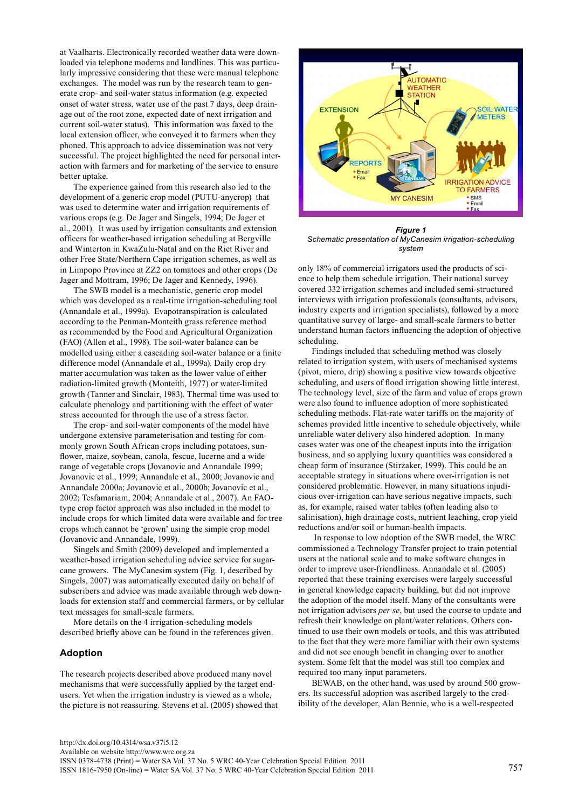at Vaalharts. Electronically recorded weather data were downloaded via telephone modems and landlines. This was particularly impressive considering that these were manual telephone exchanges. The model was run by the research team to generate crop- and soil-water status information (e.g. expected onset of water stress, water use of the past 7 days, deep drainage out of the root zone, expected date of next irrigation and current soil-water status). This information was faxed to the local extension officer, who conveyed it to farmers when they phoned. This approach to advice dissemination was not very successful. The project highlighted the need for personal interaction with farmers and for marketing of the service to ensure better uptake.

The experience gained from this research also led to the development of a generic crop model (PUTU-anycrop) that was used to determine water and irrigation requirements of various crops (e.g. De Jager and Singels, 1994; De Jager et al., 2001). It was used by irrigation consultants and extension officers for weather-based irrigation scheduling at Bergville and Winterton in KwaZulu-Natal and on the Riet River and other Free State/Northern Cape irrigation schemes, as well as in Limpopo Province at ZZ2 on tomatoes and other crops (De Jager and Mottram, 1996; De Jager and Kennedy, 1996).

The SWB model is a mechanistic, generic crop model which was developed as a real-time irrigation-scheduling tool (Annandale et al., 1999a). Evapotranspiration is calculated according to the Penman-Monteith grass reference method as recommended by the Food and Agricultural Organization (FAO) (Allen et al., 1998). The soil-water balance can be modelled using either a cascading soil-water balance or a finite difference model (Annandale et al., 1999a). Daily crop dry matter accumulation was taken as the lower value of either radiation-limited growth (Monteith, 1977) or water-limited growth (Tanner and Sinclair, 1983). Thermal time was used to calculate phenology and partitioning with the effect of water stress accounted for through the use of a stress factor.

The crop- and soil-water components of the model have undergone extensive parameterisation and testing for commonly grown South African crops including potatoes, sunflower, maize, soybean, canola, fescue, lucerne and a wide range of vegetable crops (Jovanovic and Annandale 1999; Jovanovic et al., 1999; Annandale et al., 2000; Jovanovic and Annandale 2000a; Jovanovic et al., 2000b; Jovanovic et al., 2002; Tesfamariam, 2004; Annandale et al., 2007). An FAOtype crop factor approach was also included in the model to include crops for which limited data were available and for tree crops which cannot be 'grown' using the simple crop model (Jovanovic and Annandale, 1999).

Singels and Smith (2009) developed and implemented a weather-based irrigation scheduling advice service for sugarcane growers. The MyCanesim system (Fig. 1, described by Singels, 2007) was automatically executed daily on behalf of subscribers and advice was made available through web downloads for extension staff and commercial farmers, or by cellular text messages for small-scale farmers.

More details on the 4 irrigation-scheduling models described briefly above can be found in the references given.

# **Adoption**

The research projects described above produced many novel mechanisms that were successfully applied by the target endusers. Yet when the irrigation industry is viewed as a whole, the picture is not reassuring. Stevens et al. (2005) showed that



*Figure 1 Schematic presentation of MyCanesim irrigation-scheduling system*

only 18% of commercial irrigators used the products of science to help them schedule irrigation. Their national survey covered 332 irrigation schemes and included semi-structured interviews with irrigation professionals (consultants, advisors, industry experts and irrigation specialists), followed by a more quantitative survey of large- and small-scale farmers to better understand human factors influencing the adoption of objective scheduling.

Findings included that scheduling method was closely related to irrigation system, with users of mechanised systems (pivot, micro, drip) showing a positive view towards objective scheduling, and users of flood irrigation showing little interest. The technology level, size of the farm and value of crops grown were also found to influence adoption of more sophisticated scheduling methods. Flat-rate water tariffs on the majority of schemes provided little incentive to schedule objectively, while unreliable water delivery also hindered adoption. In many cases water was one of the cheapest inputs into the irrigation business, and so applying luxury quantities was considered a cheap form of insurance (Stirzaker, 1999). This could be an acceptable strategy in situations where over-irrigation is not considered problematic. However, in many situations injudicious over-irrigation can have serious negative impacts, such as, for example, raised water tables (often leading also to salinisation), high drainage costs, nutrient leaching, crop yield reductions and/or soil or human-health impacts.

 In response to low adoption of the SWB model, the WRC commissioned a Technology Transfer project to train potential users at the national scale and to make software changes in order to improve user-friendliness. Annandale et al. (2005) reported that these training exercises were largely successful in general knowledge capacity building, but did not improve the adoption of the model itself. Many of the consultants were not irrigation advisors *per se*, but used the course to update and refresh their knowledge on plant/water relations. Others continued to use their own models or tools, and this was attributed to the fact that they were more familiar with their own systems and did not see enough benefit in changing over to another system. Some felt that the model was still too complex and required too many input parameters.

BEWAB, on the other hand, was used by around 500 growers. Its successful adoption was ascribed largely to the credibility of the developer, Alan Bennie, who is a well-respected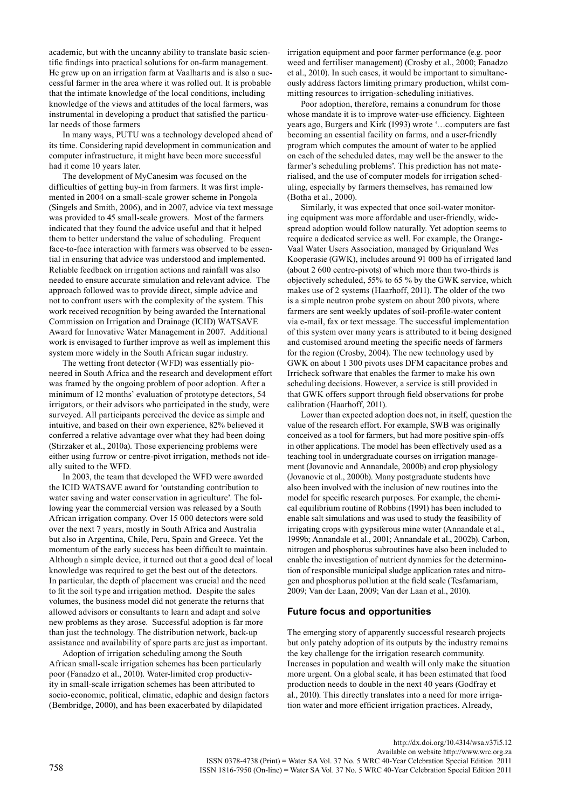academic, but with the uncanny ability to translate basic scientific findings into practical solutions for on-farm management. He grew up on an irrigation farm at Vaalharts and is also a successful farmer in the area where it was rolled out. It is probable that the intimate knowledge of the local conditions, including knowledge of the views and attitudes of the local farmers, was instrumental in developing a product that satisfied the particular needs of those farmers

In many ways, PUTU was a technology developed ahead of its time. Considering rapid development in communication and computer infrastructure, it might have been more successful had it come 10 years later.

The development of MyCanesim was focused on the difficulties of getting buy-in from farmers. It was first implemented in 2004 on a small-scale grower scheme in Pongola (Singels and Smith, 2006), and in 2007, advice via text message was provided to 45 small-scale growers. Most of the farmers indicated that they found the advice useful and that it helped them to better understand the value of scheduling. Frequent face-to-face interaction with farmers was observed to be essential in ensuring that advice was understood and implemented. Reliable feedback on irrigation actions and rainfall was also needed to ensure accurate simulation and relevant advice. The approach followed was to provide direct, simple advice and not to confront users with the complexity of the system. This work received recognition by being awarded the International Commission on Irrigation and Drainage (ICID) WATSAVE Award for Innovative Water Management in 2007. Additional work is envisaged to further improve as well as implement this system more widely in the South African sugar industry.

The wetting front detector (WFD) was essentially pioneered in South Africa and the research and development effort was framed by the ongoing problem of poor adoption. After a minimum of 12 months' evaluation of prototype detectors, 54 irrigators, or their advisors who participated in the study, were surveyed. All participants perceived the device as simple and intuitive, and based on their own experience, 82% believed it conferred a relative advantage over what they had been doing (Stirzaker et al., 2010a). Those experiencing problems were either using furrow or centre-pivot irrigation, methods not ideally suited to the WFD.

In 2003, the team that developed the WFD were awarded the ICID WATSAVE award for 'outstanding contribution to water saving and water conservation in agriculture'. The following year the commercial version was released by a South African irrigation company. Over 15 000 detectors were sold over the next 7 years, mostly in South Africa and Australia but also in Argentina, Chile, Peru, Spain and Greece. Yet the momentum of the early success has been difficult to maintain. Although a simple device, it turned out that a good deal of local knowledge was required to get the best out of the detectors. In particular, the depth of placement was crucial and the need to fit the soil type and irrigation method. Despite the sales volumes, the business model did not generate the returns that allowed advisors or consultants to learn and adapt and solve new problems as they arose. Successful adoption is far more than just the technology. The distribution network, back-up assistance and availability of spare parts are just as important.

Adoption of irrigation scheduling among the South African small-scale irrigation schemes has been particularly poor (Fanadzo et al., 2010). Water-limited crop productivity in small-scale irrigation schemes has been attributed to socio-economic, political, climatic, edaphic and design factors (Bembridge, 2000), and has been exacerbated by dilapidated

irrigation equipment and poor farmer performance (e.g. poor weed and fertiliser management) (Crosby et al., 2000; Fanadzo et al., 2010). In such cases, it would be important to simultaneously address factors limiting primary production, whilst committing resources to irrigation-scheduling initiatives.

Poor adoption, therefore, remains a conundrum for those whose mandate it is to improve water-use efficiency. Eighteen years ago, Burgers and Kirk (1993) wrote '…computers are fast becoming an essential facility on farms, and a user-friendly program which computes the amount of water to be applied on each of the scheduled dates, may well be the answer to the farmer's scheduling problems'. This prediction has not materialised, and the use of computer models for irrigation scheduling, especially by farmers themselves, has remained low (Botha et al., 2000).

Similarly, it was expected that once soil-water monitoring equipment was more affordable and user-friendly, widespread adoption would follow naturally. Yet adoption seems to require a dedicated service as well. For example, the Orange-Vaal Water Users Association, managed by Griqualand Wes Kooperasie (GWK), includes around 91 000 ha of irrigated land (about 2 600 centre-pivots) of which more than two-thirds is objectively scheduled, 55% to 65 % by the GWK service, which makes use of 2 systems (Haarhoff, 2011). The older of the two is a simple neutron probe system on about 200 pivots, where farmers are sent weekly updates of soil-profile-water content via e-mail, fax or text message. The successful implementation of this system over many years is attributed to it being designed and customised around meeting the specific needs of farmers for the region (Crosby, 2004). The new technology used by GWK on about 1 300 pivots uses DFM capacitance probes and Irricheck software that enables the farmer to make his own scheduling decisions. However, a service is still provided in that GWK offers support through field observations for probe calibration (Haarhoff, 2011).

Lower than expected adoption does not, in itself, question the value of the research effort. For example, SWB was originally conceived as a tool for farmers, but had more positive spin-offs in other applications. The model has been effectively used as a teaching tool in undergraduate courses on irrigation management (Jovanovic and Annandale, 2000b) and crop physiology (Jovanovic et al., 2000b). Many postgraduate students have also been involved with the inclusion of new routines into the model for specific research purposes. For example, the chemical equilibrium routine of Robbins (1991) has been included to enable salt simulations and was used to study the feasibility of irrigating crops with gypsiferous mine water (Annandale et al., 1999b; Annandale et al., 2001; Annandale et al., 2002b). Carbon, nitrogen and phosphorus subroutines have also been included to enable the investigation of nutrient dynamics for the determination of responsible municipal sludge application rates and nitrogen and phosphorus pollution at the field scale (Tesfamariam, 2009; Van der Laan, 2009; Van der Laan et al., 2010).

#### **Future focus and opportunities**

The emerging story of apparently successful research projects but only patchy adoption of its outputs by the industry remains the key challenge for the irrigation research community. Increases in population and wealth will only make the situation more urgent. On a global scale, it has been estimated that food production needs to double in the next 40 years (Godfray et al., 2010). This directly translates into a need for more irrigation water and more efficient irrigation practices. Already,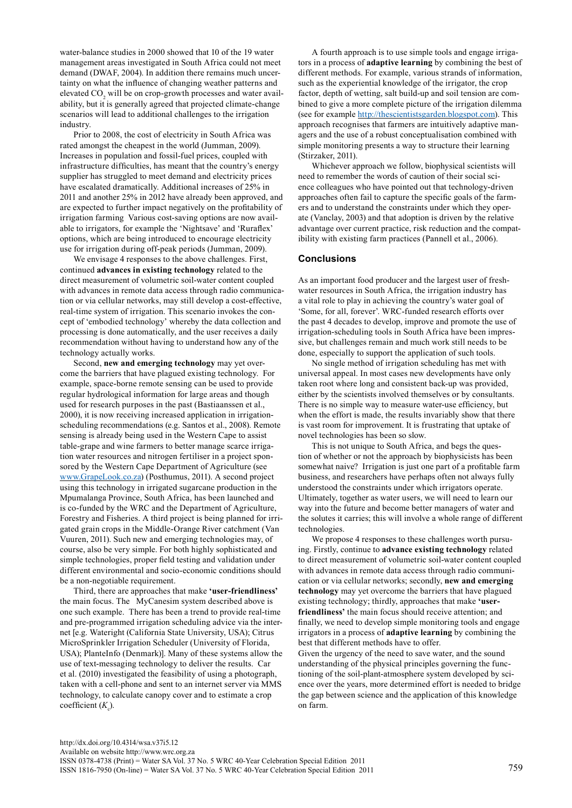water-balance studies in 2000 showed that 10 of the 19 water management areas investigated in South Africa could not meet demand (DWAF, 2004). In addition there remains much uncertainty on what the influence of changing weather patterns and elevated  $CO_2$  will be on crop-growth processes and water availability, but it is generally agreed that projected climate-change scenarios will lead to additional challenges to the irrigation industry.

Prior to 2008, the cost of electricity in South Africa was rated amongst the cheapest in the world (Jumman, 2009). Increases in population and fossil-fuel prices, coupled with infrastructure difficulties, has meant that the country's energy supplier has struggled to meet demand and electricity prices have escalated dramatically. Additional increases of 25% in 2011 and another 25% in 2012 have already been approved, and are expected to further impact negatively on the profitability of irrigation farming Various cost-saving options are now available to irrigators, for example the 'Nightsave' and 'Ruraflex' options, which are being introduced to encourage electricity use for irrigation during off-peak periods (Jumman, 2009).

We envisage 4 responses to the above challenges. First, continued **advances in existing technology** related to the direct measurement of volumetric soil-water content coupled with advances in remote data access through radio communication or via cellular networks, may still develop a cost-effective, real-time system of irrigation. This scenario invokes the concept of 'embodied technology' whereby the data collection and processing is done automatically, and the user receives a daily recommendation without having to understand how any of the technology actually works.

Second, **new and emerging technology** may yet overcome the barriers that have plagued existing technology. For example, space-borne remote sensing can be used to provide regular hydrological information for large areas and though used for research purposes in the past (Bastiaanssen et al., 2000), it is now receiving increased application in irrigationscheduling recommendations (e.g. Santos et al., 2008). Remote sensing is already being used in the Western Cape to assist table-grape and wine farmers to better manage scarce irrigation water resources and nitrogen fertiliser in a project sponsored by the Western Cape Department of Agriculture (see [www.GrapeLook.co.za\)](http://www.GrapeLook.co.za) (Posthumus, 2011). A second project using this technology in irrigated sugarcane production in the Mpumalanga Province, South Africa, has been launched and is co-funded by the WRC and the Department of Agriculture, Forestry and Fisheries. A third project is being planned for irrigated grain crops in the Middle-Orange River catchment (Van Vuuren, 2011). Such new and emerging technologies may, of course, also be very simple. For both highly sophisticated and simple technologies, proper field testing and validation under different environmental and socio-economic conditions should be a non-negotiable requirement.

Third, there are approaches that make **'user-friendliness'** the main focus. The MyCanesim system described above is one such example. There has been a trend to provide real-time and pre-programmed irrigation scheduling advice via the internet [e.g. Wateright (California State University, USA); Citrus MicroSprinkler Irrigation Scheduler (University of Florida, USA); PlanteInfo (Denmark)]. Many of these systems allow the use of text-messaging technology to deliver the results. Car et al. (2010) investigated the feasibility of using a photograph, taken with a cell-phone and sent to an internet server via MMS technology, to calculate canopy cover and to estimate a crop  $\text{coefficient } (K_c)$ .

A fourth approach is to use simple tools and engage irrigators in a process of **adaptive learning** by combining the best of different methods. For example, various strands of information, such as the experiential knowledge of the irrigator, the crop factor, depth of wetting, salt build-up and soil tension are combined to give a more complete picture of the irrigation dilemma (see for example [http://thescientistsgarden.blogspot.com](http://thescientistsgarden.blogspot.com/)). This approach recognises that farmers are intuitively adaptive managers and the use of a robust conceptualisation combined with simple monitoring presents a way to structure their learning (Stirzaker, 2011).

Whichever approach we follow, biophysical scientists will need to remember the words of caution of their social science colleagues who have pointed out that technology-driven approaches often fail to capture the specific goals of the farmers and to understand the constraints under which they operate (Vanclay, 2003) and that adoption is driven by the relative advantage over current practice, risk reduction and the compatibility with existing farm practices (Pannell et al., 2006).

## **Conclusions**

As an important food producer and the largest user of freshwater resources in South Africa, the irrigation industry has a vital role to play in achieving the country's water goal of 'Some, for all, forever'. WRC-funded research efforts over the past 4 decades to develop, improve and promote the use of irrigation-scheduling tools in South Africa have been impressive, but challenges remain and much work still needs to be done, especially to support the application of such tools.

No single method of irrigation scheduling has met with universal appeal. In most cases new developments have only taken root where long and consistent back-up was provided, either by the scientists involved themselves or by consultants. There is no simple way to measure water-use efficiency, but when the effort is made, the results invariably show that there is vast room for improvement. It is frustrating that uptake of novel technologies has been so slow.

This is not unique to South Africa, and begs the question of whether or not the approach by biophysicists has been somewhat naive? Irrigation is just one part of a profitable farm business, and researchers have perhaps often not always fully understood the constraints under which irrigators operate. Ultimately, together as water users, we will need to learn our way into the future and become better managers of water and the solutes it carries; this will involve a whole range of different technologies.

We propose 4 responses to these challenges worth pursuing. Firstly, continue to **advance existing technology** related to direct measurement of volumetric soil-water content coupled with advances in remote data access through radio communication or via cellular networks; secondly, **new and emerging technology** may yet overcome the barriers that have plagued existing technology; thirdly, approaches that make **'userfriendliness'** the main focus should receive attention; and finally, we need to develop simple monitoring tools and engage irrigators in a process of **adaptive learning** by combining the best that different methods have to offer.

Given the urgency of the need to save water, and the sound understanding of the physical principles governing the functioning of the soil-plant-atmosphere system developed by science over the years, more determined effort is needed to bridge the gap between science and the application of this knowledge on farm.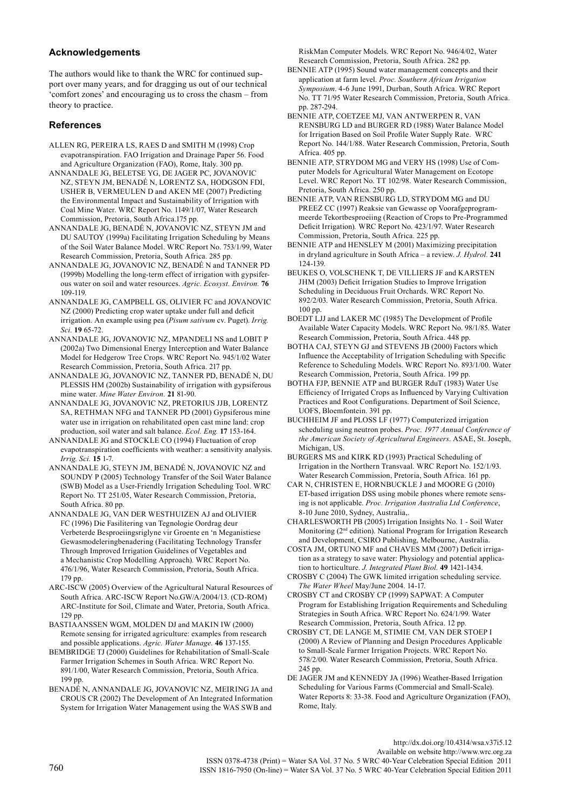# **Acknowledgements**

The authors would like to thank the WRC for continued support over many years, and for dragging us out of our technical 'comfort zones' and encouraging us to cross the chasm – from theory to practice.

# **References**

- ALLEN RG, PEREIRA LS, RAES D and SMITH M (1998) Crop evapotranspiration. FAO Irrigation and Drainage Paper 56. Food and Agriculture Organization (FAO), Rome, Italy. 300 pp.
- ANNANDALE JG, BELETSE YG, DE JAGER PC, JOVANOVIC NZ, STEYN JM, BENADÉ N, LORENTZ SA, HODGSON FDI, USHER B, VERMEULEN D and AKEN ME (2007) Predicting the Environmental Impact and Sustainability of Irrigation with Coal Mine Water. WRC Report No. 1149/1/07, Water Research Commission, Pretoria, South Africa.175 pp.
- ANNANDALE JG, BENADÉ N, JOVANOVIC NZ, STEYN JM and DU SAUTOY (1999a) Facilitating Irrigation Scheduling by Means of the Soil Water Balance Model. WRC Report No. 753/1/99, Water Research Commission, Pretoria, South Africa. 285 pp.
- ANNANDALE JG, JOVANOVIC NZ, BENADÉ N and TANNER PD (1999b) Modelling the long-term effect of irrigation with gypsiferous water on soil and water resources. *Agric. Ecosyst. Environ.* **76**  109-119.
- ANNANDALE JG, CAMPBELL GS, OLIVIER FC and JOVANOVIC NZ (2000) Predicting crop water uptake under full and deficit irrigation. An example using pea (*Pisum sativum* cv. Puget). *Irrig. Sci.* **19** 65-72.
- ANNANDALE JG, JOVANOVIC NZ, MPANDELI NS and LOBIT P (2002a) Two Dimensional Energy Interception and Water Balance Model for Hedgerow Tree Crops. WRC Report No. 945/1/02 Water Research Commission, Pretoria, South Africa. 217 pp.
- ANNANDALE JG, JOVANOVIC NZ, TANNER PD, BENADÉ N, DU PLESSIS HM (2002b) Sustainability of irrigation with gypsiferous mine water. *Mine Water Environ.* **21** 81-90.
- ANNANDALE JG, JOVANOVIC NZ, PRETORIUS JJB, LORENTZ SA, RETHMAN NFG and TANNER PD (2001) Gypsiferous mine water use in irrigation on rehabilitated open cast mine land: crop production, soil water and salt balance. *Ecol. Eng.* **17** 153-164.
- ANNANDALE JG and STOCKLE CO (1994) Fluctuation of crop evapotranspiration coefficients with weather: a sensitivity analysis. *Irrig. Sci.* **15** 1-7.
- ANNANDALE JG, STEYN JM, BENADÉ N, JOVANOVIC NZ and SOUNDY P (2005) Technology Transfer of the Soil Water Balance (SWB) Model as a User-Friendly Irrigation Scheduling Tool. WRC Report No. TT 251/05, Water Research Commission, Pretoria, South Africa. 80 pp.
- ANNANDALE JG, VAN DER WESTHUIZEN AJ and OLIVIER FC (1996) Die Fasilitering van Tegnologie Oordrag deur Verbeterde Besproeiingsriglyne vir Groente en 'n Meganistiese Gewasmodeleringbenadering (Facilitating Technology Transfer Through Improved Irrigation Guidelines of Vegetables and a Mechanistic Crop Modelling Approach)*.* WRC Report No. 476/1/96, Water Research Commission, Pretoria, South Africa. 179 pp.
- ARC-ISCW (2005) Overview of the Agricultural Natural Resources of South Africa. ARC-ISCW Report No.GW/A/2004/13. (CD-ROM) ARC-Institute for Soil, Climate and Water, Pretoria, South Africa. 129 pp.
- BASTIAANSSEN WGM, MOLDEN DJ and MAKIN IW (2000) Remote sensing for irrigated agriculture: examples from research and possible applications. *Agric. Water Manage.* **46** 137-155.
- BEMBRIDGE TJ (2000) Guidelines for Rehabilitation of Small-Scale Farmer Irrigation Schemes in South Africa. WRC Report No. 891/1/00, Water Research Commission, Pretoria, South Africa. 199 pp.
- BENADÉ N, ANNANDALE JG, JOVANOVIC NZ, MEIRING JA and CROUS CR (2002) The Development of An Integrated Information System for Irrigation Water Management using the WAS SWB and

RiskMan Computer Models. WRC Report No. 946/4/02, Water Research Commission, Pretoria, South Africa. 282 pp.

- BENNIE ATP (1995) Sound water management concepts and their application at farm level. *Proc. Southern African Irrigation Symposium*. 4-6 June 1991, Durban, South Africa. WRC Report No. TT 71/95 Water Research Commission, Pretoria, South Africa. pp. 287-294.
- BENNIE ATP, COETZEE MJ, VAN ANTWERPEN R, VAN RENSBURG LD and BURGER RD (1988) Water Balance Model for Irrigation Based on Soil Profile Water Supply Rate. WRC Report No. 144/1/88. Water Research Commission, Pretoria, South Africa. 405 pp.
- BENNIE ATP, STRYDOM MG and VERY HS (1998) Use of Computer Models for Agricultural Water Management on Ecotope Level. WRC Report No. TT 102/98. Water Research Commission, Pretoria, South Africa. 250 pp.
- BENNIE ATP, VAN RENSBURG LD, STRYDOM MG and DU PREEZ CC (1997) Reaksie van Gewasse op Voorafgeprogrammeerde Tekortbesproeiing (Reaction of Crops to Pre-Programmed Deficit Irrigation)*.* WRC Report No. 423/1/97. Water Research Commission, Pretoria, South Africa. 225 pp.
- BENNIE ATP and HENSLEY M (2001) Maximizing precipitation in dryland agriculture in South Africa – a review. *J. Hydrol.* **241** 124-139.
- BEUKES O, VOLSCHENK T, DE VILLIERS JF and KARSTEN JHM (2003) Deficit Irrigation Studies to Improve Irrigation Scheduling in Deciduous Fruit Orchards. WRC Report No. 892/2/03. Water Research Commission, Pretoria, South Africa. 100 pp.
- BOEDT LJJ and LAKER MC (1985) The Development of Profile Available Water Capacity Models. WRC Report No. 98/1/85. Water Research Commission, Pretoria, South Africa. 448 pp.
- BOTHA CAJ, STEYN GJ and STEVENS JB (2000) Factors which Influence the Acceptability of Irrigation Scheduling with Specific Reference to Scheduling Models. WRC Report No. 893/1/00. Water Research Commission, Pretoria, South Africa. 199 pp.
- BOTHA FJP, BENNIE ATP and BURGER RduT (1983) Water Use Efficiency of Irrigated Crops as Influenced by Varying Cultivation Practices and Root Configurations. Department of Soil Science, UOFS, Bloemfontein. 391 pp.
- BUCHHEIM JF and PLOSS LF (1977) Computerized irrigation scheduling using neutron probes. *Proc. 1977 Annual Conference of the American Society of Agricultural Engineers*. ASAE, St. Joseph, Michigan, US.
- BURGERS MS and KIRK RD (1993) Practical Scheduling of Irrigation in the Northern Transvaal. WRC Report No. 152/1/93. Water Research Commission, Pretoria, South Africa. 161 pp.
- CAR N, CHRISTEN E, HORNBUCKLE J and MOORE G (2010) ET-based irrigation DSS using mobile phones where remote sensing is not applicable. *Proc. Irrigation Australia Ltd Conference*, 8-10 June 2010, Sydney, Australia,.
- CHARLESWORTH PB (2005) Irrigation Insights No. 1 Soil Water Monitoring (2nd edition). National Program for Irrigation Research and Development, CSIRO Publishing, Melbourne, Australia.
- COSTA JM, ORTUNO MF and CHAVES MM (2007) Deficit irrigation as a strategy to save water: Physiology and potential application to horticulture. *J. Integrated Plant Biol.* **49** 1421-1434.
- CROSBY C (2004) The GWK limited irrigation scheduling service. *The Water Wheel* May/June 2004. 14-17.
- CROSBY CT and CROSBY CP (1999) SAPWAT: A Computer Program for Establishing Irrigation Requirements and Scheduling Strategies in South Africa. WRC Report No. 624/1/99. Water Research Commission, Pretoria, South Africa. 12 pp.
- CROSBY CT, DE LANGE M, STIMIE CM, VAN DER STOEP I (2000) A Review of Planning and Design Procedures Applicable to Small-Scale Farmer Irrigation Projects. WRC Report No. 578/2/00. Water Research Commission, Pretoria, South Africa. 245 pp.
- DE JAGER JM and KENNEDY JA (1996) Weather-Based Irrigation Scheduling for Various Farms (Commercial and Small-Scale). Water Reports 8: 33-38. Food and Agriculture Organization (FAO), Rome, Italy.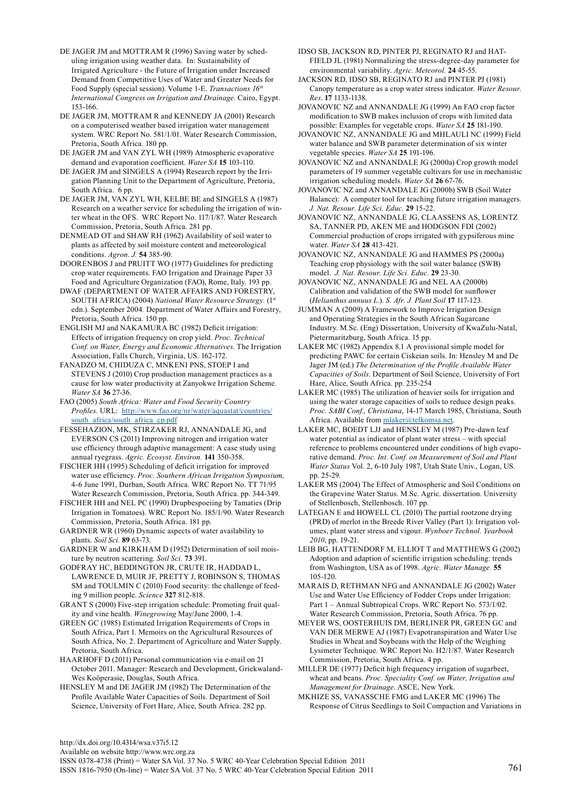- DE JAGER JM and MOTTRAM R (1996) Saving water by scheduling irrigation using weather data. In: Sustainability of Irrigated Agriculture - the Future of Irrigation under Increased Demand from Competitive Uses of Water and Greater Needs for Food Supply (special session). Volume 1-E. *Transactions 16th International Congress on Irrigation and Drainage*. Cairo, Egypt. 153-166.
- DE JAGER JM, MOTTRAM R and KENNEDY JA (2001) Research on a computerised weather based irrigation water management system. WRC Report No. 581/1/01. Water Research Commission, Pretoria, South Africa. 180 pp.
- DE JAGER JM and VAN ZYL WH (1989) Atmospheric evaporative demand and evaporation coefficient. *Water SA* **15** 103-110.
- DE JAGER JM and SINGELS A (1994) Research report by the Irrigation Planning Unit to the Department of Agriculture, Pretoria, South Africa. 6 pp.
- DE JAGER JM, VAN ZYL WH, KELBE BE and SINGELS A (1987) Research on a weather service for scheduling the irrigation of winter wheat in the OFS. WRC Report No. 117/1/87. Water Research Commission, Pretoria, South Africa. 281 pp.
- DENMEAD OT and SHAW RH (1962) Availability of soil water to plants as affected by soil moisture content and meteorological conditions. *Agron. J.* **54** 385-90.
- DOORENBOS J and PRUITT WO (1977) Guidelines for predicting crop water requirements. FAO Irrigation and Drainage Paper 33 Food and Agriculture Organization (FAO), Rome, Italy. 193 pp.
- DWAF (DEPARTMENT OF WATER AFFAIRS AND FORESTRY, SOUTH AFRICA) (2004) *National Water Resource Strategy.* (1st edn.). September 2004*.* Department of Water Affairs and Forestry, Pretoria, South Africa. 150 pp.
- ENGLISH MJ and NAKAMURA BC (1982) Deficit irrigation: Effects of irrigation frequency on crop yield. *Proc. Technical Conf. on Water, Energy and Economic Alternatives*. The Irrigation Association, Falls Church, Virginia, US. 162-172.
- FANADZO M, CHIDUZA C, MNKENI PNS, STOEP I and STEVENS J (2010) Crop production management practices as a cause for low water productivity at Zanyokwe Irrigation Scheme. *Water SA* **36** 27-36.
- FAO (2005) *South Africa: Water and Food Security Country Profiles.* URL: [http://www.fao.org/nr/water/aquastat/countries/](http://www.fao.org/nr/water/aquastat/countries/south_africa/south_africa_cp.pdf) south africa/south africa cp.pdf
- FESSEHAZION, MK, STIRZAKER RJ, ANNANDALE JG, and EVERSON CS (2011) Improving nitrogen and irrigation water use efficiency through adaptive management: A case study using annual ryegrass. *Agric. Ecosyst. Environ.* **141** 350-358.
- FISCHER HH (1995) Scheduling of deficit irrigation for improved water use efficiency. *Proc. Southern African Irrigation Symposium,* 4-6 June 1991, Durban, South Africa. WRC Report No. TT 71/95 Water Research Commission, Pretoria, South Africa. pp. 344-349.
- FISCHER HH and NEL PC (1990) Drupbespoeiing by Tamaties (Drip Irrigation in Tomatoes). WRC Report No. 185/1/90. Water Research Commission, Pretoria, South Africa. 181 pp.
- GARDNER WR (1960) Dynamic aspects of water availability to plants. *Soil Sci.* **89** 63-73.
- GARDNER W and KIRKHAM D (1952) Determination of soil moisture by neutron scattering. *Soil Sci.* **73** 391.
- GODFRAY HC, BEDDINGTON JR, CRUTE IR, HADDAD L, LAWRENCE D, MUIR JF, PRETTY J, ROBINSON S, THOMAS SM and TOULMIN C (2010) Food security: the challenge of feeding 9 million people. *Science* **327** 812-818.
- GRANT S (2000) Five-step irrigation schedule: Promoting fruit quality and vine health. *Winegrowing* May/June 2000, 1-4.
- GREEN GC (1985) Estimated Irrigation Requirements of Crops in South Africa, Part 1. Memoirs on the Agricultural Resources of South Africa, No. 2. Department of Agriculture and Water Supply. Pretoria, South Africa.
- HAARHOFF D (2011) Personal communication via e-mail on 21 October 2011. Manager: Research and Development, Griekwaland-Wes Koöperasie, Douglas, South Africa.
- HENSLEY M and DE JAGER JM (1982) The Determination of the Profile Available Water Capacities of Soils. Department of Soil Science, University of Fort Hare, Alice, South Africa. 282 pp.
- IDSO SB, JACKSON RD, PINTER PJ, REGINATO RJ and HAT-FIELD JL (1981) Normalizing the stress-degree-day parameter for environmental variability. *Agric. Meteorol.* **24** 45-55.
- JACKSON RD, IDSO SB, REGINATO RJ and PINTER PJ (1981) Canopy temperature as a crop water stress indicator. *Water Resour. Res*. **17** 1133-1138.
- JOVANOVIC NZ and ANNANDALE JG (1999) An FAO crop factor modification to SWB makes inclusion of crops with limited data possible: Examples for vegetable crops. *Water SA* **25** 181-190.
- JOVANOVIC NZ, ANNANDALE JG and MHLAULI NC (1999) Field water balance and SWB parameter determination of six winter vegetable species. *Water SA* **25** 191-196.
- JOVANOVIC NZ and ANNANDALE JG (2000a) Crop growth model parameters of 19 summer vegetable cultivars for use in mechanistic irrigation scheduling models. *Water SA* **26** 67-76.
- JOVANOVIC NZ and ANNANDALE JG (2000b) SWB (Soil Water Balance): A computer tool for teaching future irrigation managers. *J. Nat. Resour. Life Sci. Educ.* **29** 15-22.
- JOVANOVIC NZ, ANNANDALE JG, CLAASSENS AS, LORENTZ SA, TANNER PD, AKEN ME and HODGSON FDI (2002) Commercial production of crops irrigated with gypsiferous mine water. *Water SA* **28** 413-421.
- JOVANOVIC NZ, ANNANDALE JG and HAMMES PS (2000a) Teaching crop physiology with the soil water balance (SWB) model. *J. Nat. Resour. Life Sci. Educ.* **29** 23-30.
- JOVANOVIC NZ, ANNANDALE JG and NEL AA (2000b) Calibration and validation of the SWB model for sunflower (*Helianthus annuus L.*). *S. Afr. J. Plant Soil* **17** 117-123.
- JUMMAN A (2009) A Framework to Improve Irrigation Design and Operating Strategies in the South African Sugarcane Industry. M.Sc. (Eng) Dissertation, University of KwaZulu-Natal, Pietermaritzburg, South Africa. 15 pp.
- LAKER MC (1982) Appendix 8.1 A provisional simple model for predicting PAWC for certain Ciskeian soils. In: Hensley M and De Jager JM (ed.) *The Determination of the Profile Available Water Capacities of Soils*. Department of Soil Science, University of Fort Hare, Alice, South Africa. pp. 235-254
- LAKER MC (1985) The utilization of heavier soils for irrigation and using the water storage capacities of soils to reduce design peaks. *Proc. SABI Conf., Christiana*, 14-17 March 1985, Christiana, South Africa. Available from [mlaker@telkomsa.net](mailto:mlaker@telkomsa.net)
- LAKER MC, BOEDT LJJ and HENSLEY M (1987) Pre-dawn leaf water potential as indicator of plant water stress – with special reference to problems encountered under conditions of high evaporative demand. *Proc. Int. Conf. on Measurement of Soil and Plant Water Status* Vol. 2, 6-10 July 1987, Utah State Univ., Logan, US. pp. 25-29.
- LAKER MS (2004) The Effect of Atmospheric and Soil Conditions on the Grapevine Water Status. M.Sc. Agric. dissertation. University of Stellenbosch, Stellenbosch. 107 pp.
- LATEGAN E and HOWELL CL (2010) The partial rootzone drying (PRD) of merlot in the Breede River Valley (Part 1): Irrigation volumes, plant water stress and vigour. *Wynboer Technol. Yearbook 2010*, pp. 19-21.
- LEIB BG, HATTENDORF M, ELLIOT T and MATTHEWS G (2002) Adoption and adaption of scientific irrigation scheduling: trends from Washington, USA as of 1998. *Agric. Water Manage.* **55** 105-120.
- MARAIS D, RETHMAN NFG and ANNANDALE JG (2002) Water Use and Water Use Efficiency of Fodder Crops under Irrigation: Part 1 – Annual Subtropical Crops. WRC Report No. 573/1/02. Water Research Commission, Pretoria, South Africa. 76 pp.
- MEYER WS, OOSTERHUIS DM, BERLINER PR, GREEN GC and VAN DER MERWE AJ (1987) Evapotranspiration and Water Use Studies in Wheat and Soybeans with the Help of the Weighing Lysimeter Technique. WRC Report No. H2/1/87. Water Research Commission, Pretoria, South Africa. 4 pp.
- MILLER DE (1977) Deficit high frequency irrigation of sugarbeet, wheat and beans. *Proc. Speciality Conf. on Water, Irrigation and Management for Drainage*. ASCE, New York.
- MKHIZE SS, VANASSCHE FMG and LAKER MC (1996) The Response of Citrus Seedlings to Soil Compaction and Variations in

[http://dx.doi.org/10.4314/wsa.v37i5.12](http://dx.doi.org/10.4314/wsa.v37i4.18)

ISSN 0378-4738 (Print) = Water SA Vol. 37 No. 5 WRC 40-Year Celebration Special Edition 2011 ISSN 1816-7950 (On-line) = Water SA Vol. 37 No. 5 WRC 40-Year Celebration Special Edition 2011 761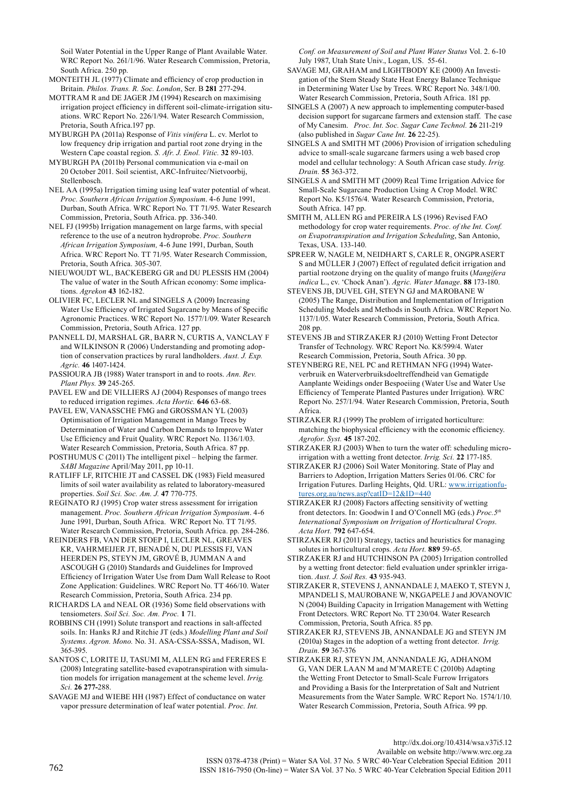Soil Water Potential in the Upper Range of Plant Available Water. WRC Report No. 261/1/96. Water Research Commission, Pretoria, South Africa. 250 pp.

MONTEITH JL (1977) Climate and efficiency of crop production in Britain. *Philos. Trans. R. Soc. London*, Ser. B **281** 277-294.

MOTTRAM R and DE JAGER JM (1994) Research on maximising irrigation project efficiency in different soil-climate-irrigation situations. WRC Report No. 226/1/94. Water Research Commission, Pretoria, South Africa.197 pp.

MYBURGH PA (2011a) Response of *Vitis vinifera* L. cv. Merlot to low frequency drip irrigation and partial root zone drying in the Western Cape coastal region. *S. Afr. J. Enol. Vitic.* **32** 89-103.

MYBURGH PA (2011b) Personal communication via e-mail on 20 October 2011. Soil scientist, ARC-Infruitec/Nietvoorbij, Stellenbosch.

NEL AA (1995a) Irrigation timing using leaf water potential of wheat. *Proc. Southern African Irrigation Symposium*. 4-6 June 1991, Durban, South Africa. WRC Report No. TT 71/95. Water Research Commission, Pretoria, South Africa. pp. 336-340.

NEL FJ (1995b) Irrigation management on large farms, with special reference to the use of a neutron hydroprobe. *Proc. Southern African Irrigation Symposium,* 4-6 June 1991, Durban, South Africa. WRC Report No. TT 71/95. Water Research Commission, Pretoria, South Africa. 305-307.

NIEUWOUDT WL, BACKEBERG GR and DU PLESSIS HM (2004) The value of water in the South African economy: Some implications. *Agrekon* **43** 162-182.

OLIVIER FC, LECLER NL and SINGELS A (2009) Increasing Water Use Efficiency of Irrigated Sugarcane by Means of Specific Agronomic Practices. WRC Report No. 1577/1/09. Water Research Commission, Pretoria, South Africa. 127 pp.

PANNELL DJ, MARSHAL GR, BARR N, CURTIS A, VANCLAY F and WILKINSON R (2006) Understanding and promoting adoption of conservation practices by rural landholders. *Aust. J. Exp. Agric.* **46** 1407-1424.

PASSIOURA JB (1988) Water transport in and to roots. *Ann. Rev. Plant Phys.* **39** 245-265.

PAVEL EW and DE VILLIERS AJ (2004) Responses of mango trees to reduced irrigation regimes. *Acta Hortic.* **646** 63-68.

PAVEL EW, VANASSCHE FMG and GROSSMAN YL (2003) Optimisation of Irrigation Management in Mango Trees by Determination of Water and Carbon Demands to Improve Water Use Efficiency and Fruit Quality. WRC Report No. 1136/1/03. Water Research Commission, Pretoria, South Africa. 87 pp.

POSTHUMUS C (2011) The intelligent pixel – helping the farmer. *SABI Magazine* April/May 2011, pp 10-11.

RATLIFF LF, RITCHIE JT and CASSEL DK (1983) Field measured limits of soil water availability as related to laboratory-measured properties. *Soil Sci. Soc. Am. J.* **47** 770-775.

REGINATO RJ (1995) Crop water stress assessment for irrigation management. *Proc. Southern African Irrigation Symposium*. 4-6 June 1991, Durban, South Africa. WRC Report No. TT 71/95. Water Research Commission, Pretoria, South Africa. pp. 284-286.

REINDERS FB, VAN DER STOEP I, LECLER NL, GREAVES KR, VAHRMEIJER JT, BENADÉ N, DU PLESSIS FJ, VAN HEERDEN PS, STEYN JM, GROVÉ B, JUMMAN A and ASCOUGH G (2010) Standards and Guidelines for Improved Efficiency of Irrigation Water Use from Dam Wall Release to Root Zone Application: Guidelines. WRC Report No. TT 466/10. Water Research Commission, Pretoria, South Africa. 234 pp.

RICHARDS LA and NEAL OR (1936) Some field observations with tensiometers. *Soil Sci. Soc. Am. Proc.* **1** 71.

ROBBINS CH (1991) Solute transport and reactions in salt-affected soils. In: Hanks RJ and Ritchie JT (eds.) *Modelling Plant and Soil Systems*. *Agron. Mono.* No. 31. ASA-CSSA-SSSA, Madison, WI. 365-395.

SANTOS C, LORITE IJ, TASUMI M, ALLEN RG and FERERES E (2008) Integrating satellite-based evapotranspiration with simulation models for irrigation management at the scheme level. *Irrig. Sci.* **26 277-**288.

SAVAGE MJ and WIEBE HH (1987) Effect of conductance on water vapor pressure determination of leaf water potential. *Proc. Int.* 

*Conf. on Measurement of Soil and Plant Water Status* Vol. 2. 6-10 July 1987, Utah State Univ., Logan, US. 55-61.

SAVAGE MJ, GRAHAM and LIGHTBODY KE (2000) An Investigation of the Stem Steady State Heat Energy Balance Technique in Determining Water Use by Trees. WRC Report No. 348/1/00. Water Research Commission, Pretoria, South Africa. 181 pp.

SINGELS A (2007) A new approach to implementing computer-based decision support for sugarcane farmers and extension staff. The case of My Canesim. *Proc. Int. Soc. Sugar Cane Technol.* **26** 211-219 (also published in *Sugar Cane Int.* **26** 22-25).

SINGELS A and SMITH MT (2006) Provision of irrigation scheduling advice to small-scale sugarcane farmers using a web based crop model and cellular technology: A South African case study. *Irrig. Drain.* **55** 363-372.

SINGELS A and SMITH MT (2009) Real Time Irrigation Advice for Small-Scale Sugarcane Production Using A Crop Model. WRC Report No. K5/1576/4. Water Research Commission, Pretoria, South Africa. 147 pp.

SMITH M, ALLEN RG and PEREIRA LS (1996) Revised FAO methodology for crop water requirements. *Proc. of the Int. Conf. on Evapotranspiration and Irrigation Scheduling*, San Antonio, Texas, USA. 133-140.

SPREER W, NAGLE M, NEIDHART S, CARLE R, ONGPRASERT S and MÜLLER J (2007) Effect of regulated deficit irrigation and partial rootzone drying on the quality of mango fruits (*Mangifera indica* L., cv. 'Chock Anan'). *Agric. Water Manage*. **88** 173-180.

STEVENS JB, DUVEL GH, STEYN GJ and MAROBANE W (2005) The Range, Distribution and Implementation of Irrigation Scheduling Models and Methods in South Africa. WRC Report No. 1137/1/05. Water Research Commission, Pretoria, South Africa. 208 pp.

STEVENS JB and STIRZAKER RJ (2010) Wetting Front Detector Transfer of Technology. WRC Report No. K8/599/4. Water Research Commission, Pretoria, South Africa. 30 pp.

STEYNBERG RE, NEL PC and RETHMAN NFG (1994) Waterverbruik en Waterverbruiksdoeltreffendheid van Gematigde Aanplante Weidings onder Bespoeiing (Water Use and Water Use Efficiency of Temperate Planted Pastures under Irrigation). WRC Report No. 257/1/94. Water Research Commission, Pretoria, South Africa.

STIRZAKER RJ (1999) The problem of irrigated horticulture: matching the biophysical efficiency with the economic efficiency. *Agrofor. Syst.* **45** 187-202.

STIRZAKER RJ (2003) When to turn the water off: scheduling microirrigation with a wetting front detector. *Irrig. Sci.* **22** 177-185.

STIRZAKER RJ (2006) Soil Water Monitoring. State of Play and Barriers to Adoption, Irrigation Matters Series 01/06. CRC for Irrigation Futures. Darling Heights, Qld. URL: [www.irrigationfu](http://www.irrigationfutures.org.au/news.asp?catID=12&ID=440)[tures.org.au/news.asp?catID=12&ID=440](http://www.irrigationfutures.org.au/news.asp?catID=12&ID=440)

STIRZAKER RJ (2008) Factors affecting sensitivity of wetting front detectors. In: Goodwin I and O'Connell MG (eds.) *Proc.5th International Symposium on Irrigation of Horticultural Crops*. *Acta Hort.* **792** 647-654.

STIRZAKER RJ (2011) Strategy, tactics and heuristics for managing solutes in horticultural crops. *Acta Hort.* **889** 59-65.

STIRZAKER RJ and HUTCHINSON PA (2005) Irrigation controlled by a wetting front detector: field evaluation under sprinkler irrigation. *Aust. J. Soil Res.* **43** 935-943.

STIRZAKER R, STEVENS J, ANNANDALE J, MAEKO T, STEYN J, MPANDELI S, MAUROBANE W, NKGAPELE J and JOVANOVIC N (2004) Building Capacity in Irrigation Management with Wetting Front Detectors. WRC Report No. TT 230/04. Water Research Commission, Pretoria, South Africa. 85 pp.

STIRZAKER RJ, STEVENS JB, ANNANDALE JG and STEYN JM (2010a) Stages in the adoption of a wetting front detector. *Irrig. Drain.* **59** 367-376

STIRZAKER RJ, STEYN JM, ANNANDALE JG, ADHANOM G, VAN DER LAAN M and M'MARETE C (2010b) Adapting the Wetting Front Detector to Small-Scale Furrow Irrigators and Providing a Basis for the Interpretation of Salt and Nutrient Measurements from the Water Sample. WRC Report No. 1574/1/10. Water Research Commission, Pretoria, South Africa. 99 pp.

http://dx.doi.org/10.4314/wsa.v37i5.12